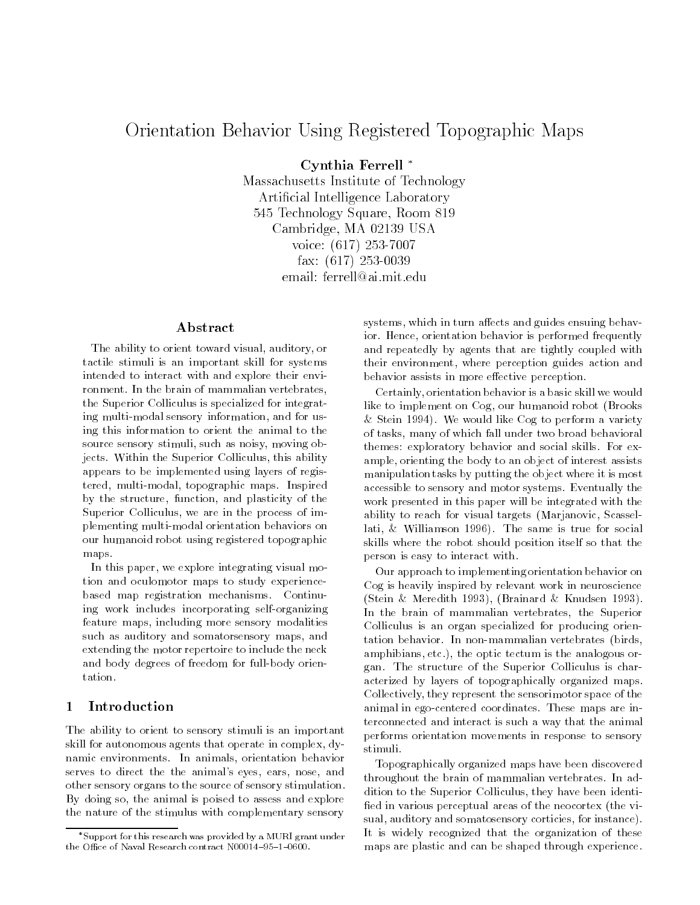# Orientation Behavior Using Registered Topographic Maps

Cynthia Ferrell

Massachusetts Institute of Technology Articial Intelligence Laboratory 545 Technology Square, Room 819 Cambridge, MA 02139 USA voice: (617) 253-7007 fax: (617) 253-0039 email: ferrell@ai.mit.edu

### Abstract

The ability to orient toward visual, auditory, or tactile stimuli is an important skill for systems intended to interact with and explore their environment. In the brain of mammalian vertebrates, the Superior Colliculus is specialized for integrating multi-modal sensory information, and for using this information to orient the animal to the source sensory stimuli, such as noisy, moving objects. Within the Superior Colliculus, this ability appears to be implemented using layers of registered, multi-modal, topographic maps. Inspired by the structure, function, and plasticity of the Superior Colliculus, we are in the process of implementing multi-modal orientation behaviors on our humanoid robot using registered topographic maps.

In this paper, we explore integrating visual motion and oculomotor maps to study experiencebased map registration mechanisms. Continuing work includes incorporating self-organizing feature maps, including more sensory modalities such as auditory and somatorsensory maps, and extending the motor repertoire to include the neck and body degrees of freedom for full-body orientation.

## 1 Introduction

The ability to orient to sensory stimuli is an important skill for autonomous agents that operate in complex, dynamic environments. In animals, orientation behavior serves to direct the the animal's eyes, ears, nose, and other sensory organs to the source of sensory stimulation. By doing so, the animal is poised to assess and explore the nature of the stimulus with complementary sensory

systems, which in turn affects and guides ensuing behavior. Hence, orientation behavior is performed frequently and repeatedly by agents that are tightly coupled with their environment, where perception guides action and behavior assists in more effective perception.

Certainly, orientation behavior is a basic skill we would like to implement on Cog, our humanoid robot (Brooks & Stein 1994). We would like Cog to perform a variety of tasks, many of which fall under two broad behavioral themes: exploratory behavior and social skills. For example, orienting the body to an object of interest assists manipulation tasks by putting the object where it is most accessible to sensory and motor systems. Eventually the work presented in this paper will be integrated with the ability to reach for visual targets (Marjanovic, Scassellati, & Williamson 1996). The same is true for social skills where the robot should position itself so that the person is easy to interact with.

Our approach to implementing orientation behavior on Cog is heavily inspired by relevant work in neuroscience (Stein & Meredith 1993), (Brainard & Knudsen 1993). In the brain of mammalian vertebrates, the Superior Colliculus is an organ specialized for producing orientation behavior. In non-mammalian vertebrates (birds, amphibians, etc.), the optic tectum is the analogous organ. The structure of the Superior Colliculus is characterized by layers of topographically organized maps. Collectively, they represent the sensorimotor space of the animal in ego-centered coordinates. These maps are interconnected and interact is such a way that the animal performs orientation movements in response to sensory stimuli.

Topographically organized maps have been discovered throughout the brain of mammalian vertebrates. In addition to the Superior Colliculus, they have been identi fied in various perceptual areas of the neocortex (the visual, auditory and somatosensory corticies, for instance). It is widely recognized that the organization of these maps are plastic and can be shaped through experience.

Support for this research was provided by a MURI grant underthe Office of Naval Research contract N00014-95-1-0600.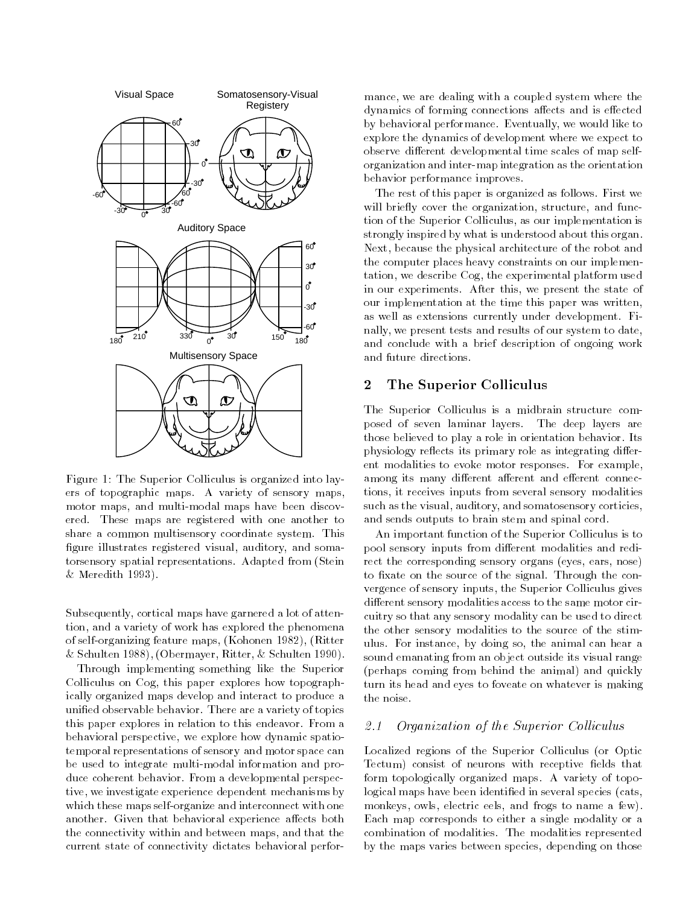

Figure 1: The Superior Colliculus is organized into layers of topographic maps. A variety of sensory maps, motor maps, and multi-modal maps have been discovered. These maps are registered with one another to share a common multisensory coordinate system. This figure illustrates registered visual, auditory, and somatorsensory spatial representations. Adapted from (Stein & Meredith 1993).

Subsequently, cortical maps have garnered a lot of attention, and a variety of work has explored the phenomena of self-organizing feature maps, (Kohonen 1982), (Ritter & Schulten 1988), (Obermayer, Ritter, & Schulten 1990).

Through implementing something like the Superior Colliculus on Cog, this paper explores how topographically organized maps develop and interact to produce a unied observable behavior. There are a variety of topics this paper explores in relation to this endeavor. From a behavioral perspective, we explore how dynamic spatiotemporal representations of sensory and motor space can be used to integrate multi-modal information and produce coherent behavior. From a developmental perspective, we investigate experience dependent mechanisms by which these maps self-organize and interconnect with one another. Given that behavioral experience affects both the connectivity within and between maps, and that the current state of connectivity dictates behavioral performance, we are dealing with a coupled system where the dynamics of forming connections affects and is effected by behavioral performance. Eventually, we would like to explore the dynamics of development where we expect to observe different developmental time scales of map selforganization and inter-map integration as the orientation behavior performance improves.

The rest of this paper is organized as follows. First we will briefly cover the organization, structure, and function of the Superior Colliculus, as our implementation is strongly inspired by what is understood about this organ. Next, because the physical architecture of the robot and the computer places heavy constraints on our implementation, we describe Cog, the experimental platform used in our experiments. After this, we present the state of our implementation at the time this paper was written, as well as extensions currently under development. Finally, we present tests and results of our system to date, and conclude with a brief description of ongoing work and future directions.

#### $\overline{2}$ The Superior Colliculus

The Superior Colliculus is a midbrain structure composed of seven laminar layers. The deep layers are those believed to play a role in orientation behavior. Its physiology reflects its primary role as integrating different modalities to evoke motor responses. For example, among its many different afferent and efferent connections, it receives inputs from several sensory modalities such as the visual, auditory, and somatosensory corticies, and sends outputs to brain stem and spinal cord.

An important function of the Superior Colliculus is to pool sensory inputs from different modalities and redirect the corresponding sensory organs (eyes, ears, nose) to fixate on the source of the signal. Through the convergence of sensory inputs, the Superior Colliculus gives different sensory modalities access to the same motor circuitry so that any sensory modality can be used to direct the other sensory modalities to the source of the stimulus. For instance, by doing so, the animal can hear a sound emanating from an object outside its visual range (perhaps coming from behind the animal) and quickly turn its head and eyes to foveate on whatever is making the noise.

#### Organization of the Superior Colliculus  $2.1$

Localized regions of the Superior Colliculus (or Optic Tectum) consist of neurons with receptive fields that form topologically organized maps. A variety of topological maps have been identified in several species (cats, monkeys, owls, electric eels, and frogs to name a few). Each map corresponds to either a single modality or a combination of modalities. The modalities represented by the maps varies between species, depending on those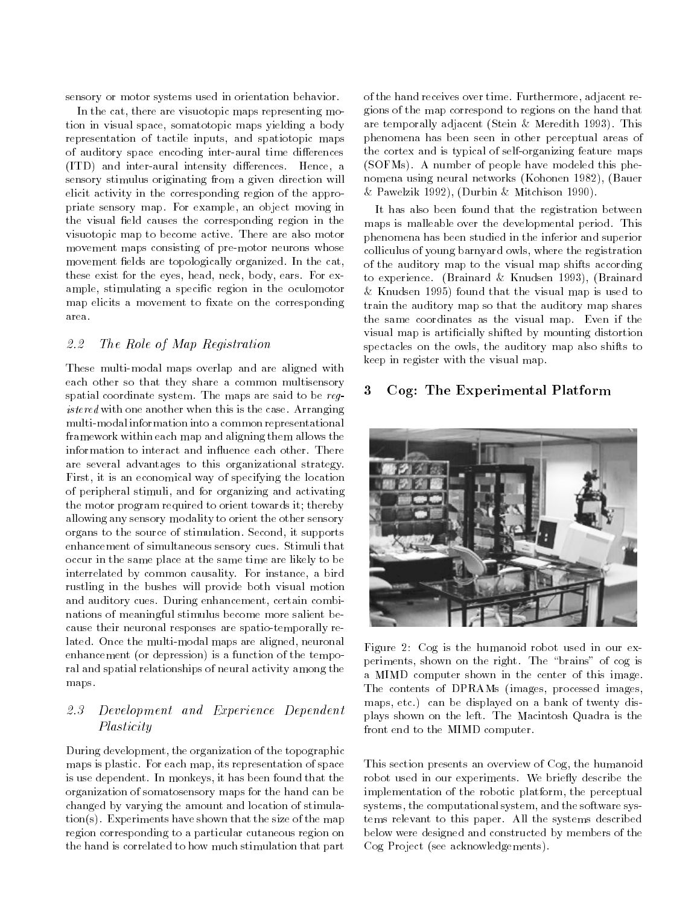sensory or motor systems used in orientation behavior.

In the cat, there are visuotopic maps representing motion in visual space, somatotopic maps yielding a body representation of tactile inputs, and spatiotopic maps of auditory space encoding inter-aural time differences (ITD) and inter-aural intensity differences. Hence, a sensory stimulus originating from a given direction will elicit activity in the corresponding region of the appropriate sensory map. For example, an object moving in the visual field causes the corresponding region in the visuotopic map to become active. There are also motor movement maps consisting of pre-motor neurons whose movement fields are topologically organized. In the cat, these exist for the eyes, head, neck, body, ears. For example, stimulating a specific region in the oculomotor map elicits a movement to fixate on the corresponding area.

#### 2.2 The Role of Map Registration

These multi-modal maps overlap and are aligned with each other so that they share a common multisensory<br>spatial coordinate system. The maps are said to be required. spatial coordinate system. The maps are said to be registered with one another when this is the case. Arranging multi-modal information into a common representational framework within each map and aligning them allows the information to interact and influence each other. There are several advantages to this organizational strategy. First, it is an economical way of specifying the location of peripheral stimuli, and for organizing and activating the motor program required to orient towards it; thereby allowing any sensory modality to orient the other sensory organs to the source of stimulation. Second, it supports enhancement of simultaneous sensory cues. Stimuli that occur in the same place at the same time are likely to be interrelated by common causality. For instance, a bird rustling in the bushes will provide both visual motion and auditory cues. During enhancement, certain combinations of meaningful stimulus become more salient because their neuronal responses are spatio-temporally related. Once the multi-modal maps are aligned, neuronal enhancement (or depression) is a function of the temporal and spatial relationships of neural activity among the maps.

# 2.3 Development and Experience Dependent Plasticity

During development, the organization of the topographic maps is plastic. For each map, its representation of space is use dependent. In monkeys, it has been found that the organization of somatosensory maps for the hand can be changed by varying the amount and location of stimulation(s). Experiments have shown that the size of the map region corresponding to a particular cutaneous region on the hand is correlated to how much stimulation that part

of the hand receives over time. Furthermore, adjacent regions of the map correspond to regions on the hand that are temporally adjacent (Stein & Meredith 1993). This phenomena has been seen in other perceptual areas of the cortex and is typical of self-organizing feature maps (SOFMs). A number of people have modeled this phenomena using neural networks (Kohonen 1982), (Bauer & Pawelzik 1992), (Durbin & Mitchison 1990).

It has also been found that the registration between maps is malleable over the developmental period. This phenomena has been studied in the inferior and superior colliculus of young barnyard owls, where the registration of the auditory map to the visual map shifts according to experience. (Brainard & Knudsen 1993), (Brainard & Knudsen 1995) found that the visual map is used to train the auditory map so that the auditory map shares the same coordinates as the visual map. Even if the visual map is articially shifted by mounting distortion spectacles on the owls, the auditory map also shifts to keep in register with the visual map.

### 3 Cog: The Experimental Platform



Figure 2: Cog is the humanoid robot used in our experiments, shown on the right. The \brains" of cog is a MIMD computer shown in the center of this image. The contents of DPRAMs (images, processed images, maps, etc.) can be displayed on a bank of twenty displays shown on the left. The Macintosh Quadra is the front end to the MIMD computer.

This section presents an overview of Cog, the humanoid robot used in our experiments. We briefly describe the implementation of the robotic platform, the perceptual systems, the computational system, and the software systems relevant to this paper. All the systems described below were designed and constructed by members of the Cog Project (see acknowledgements).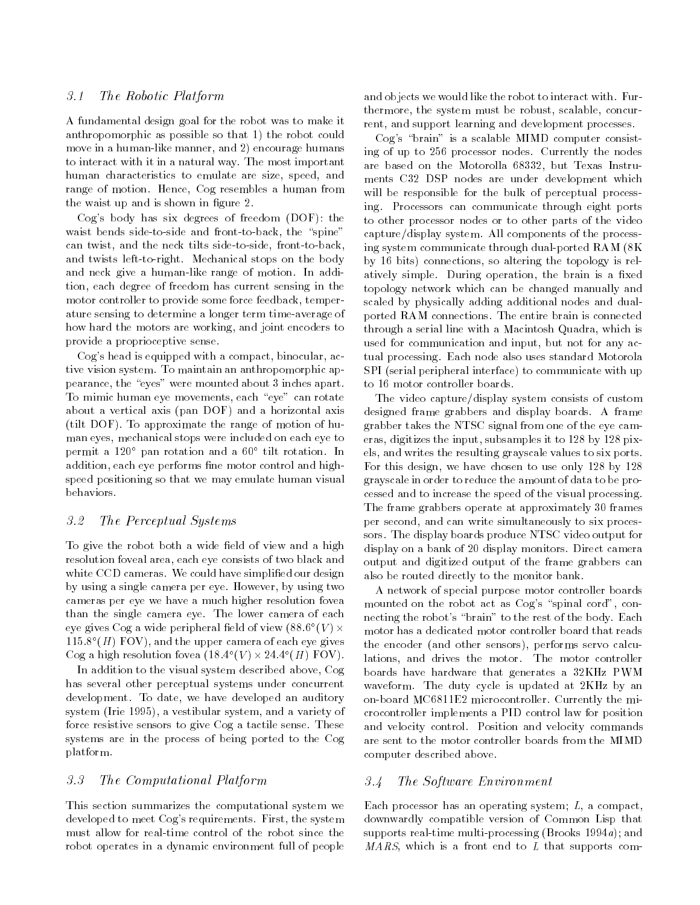#### 3.1 The Robotic Platform

A fundamental design goal for the robot was to make it anthropomorphic as possible so that 1) the robot could move in a human-like manner, and 2) encourage humans to interact with it in a natural way. The most important human characteristics to emulate are size, speed, and range of motion. Hence, Cog resembles a human from the waist up and is shown in figure 2.

Cog's body has six degrees of freedom (DOF): the waist bends side-to-side and front-to-back, the "spine" can twist, and the neck tilts side-to-side, front-to-back, and twists left-to-right. Mechanical stops on the body and neck give a human-like range of motion. In addition, each degree of freedom has current sensing in the motor controller to provide some force feedback, temperature sensing to determine a longer term time-average of how hard the motors are working, and joint encoders to provide a proprioceptive sense.

Cog's head is equipped with a compact, binocular, active vision system. To maintain an anthropomorphic appearance, the "eyes" were mounted about 3 inches apart. To mimic human eye movements, each "eye" can rotate about a vertical axis (pan DOF) and a horizontal axis (tilt DOF). To approximate the range of motion of hu man eyes, mechanical stops were included on each eye to permit a 120 pan rotation and a 60 tilt rotation. In addition, each eye performs fine motor control and highspeed positioning so that we may emulate human visual behaviors.

### 3.2 The Perceptual Systems

To give the robot both a wide field of view and a high resolution foveal area, each eye consists of two black and white CCD cameras. We could have simplified our design by using a single camera per eye. However, by using two cameras per eye we have a much higher resolution fovea than the single camera eye. The lower camera of each eye gives  $\bigcirc$ og a wide peripheral held of view (88.6° (V) $\times$  $115.8$  (H)  $1 \text{UV}$ ), and the upper camera of each eye gives  $\bigcup$ og a high resolution fovea (18.4 ( $V$ )  $\times$  24.4 ( $H$ )  $\Gamma$  OV).

In addition to the visual system described above, Cog has several other perceptual systems under concurrent development. To date, we have developed an auditory system (Irie 1995), a vestibular system, and a variety of force resistive sensors to give Cog a tactile sense. These systems are in the process of being ported to the Cog platform.

#### 3.3 The Computational Platform

This section summarizes the computational system we developed to meet Cog's requirements. First, the system must allow for real-time control of the robot since the robot operates in a dynamic environment full of people and objects we would like the robot to interact with. Furthermore, the system must be robust, scalable, concurrent, and support learning and development processes.

 $\log$ 's "brain" is a scalable MIMD computer consisting of up to 256 processor nodes. Currently the nodes are based on the Motorolla 68332, but Texas Instru ments C32 DSP nodes are under development which will be responsible for the bulk of perceptual processing. Processors can communicate through eight ports to other processor nodes or to other parts of the video capture/display system. All components of the processing system communicate through dual-ported RAM (8K by 16 bits) connections, so altering the topology is relatively simple. During operation, the brain is a fixed topology network which can be changed manually and scaled by physically adding additional nodes and dualported RAM connections. The entire brain is connected through a serial line with a Macintosh Quadra, which is used for communication and input, but not for any actual processing. Each node also uses standard Motorola SPI (serial peripheral interface) to communicate with up to 16 motor controller boards.

The video capture/display system consists of custom designed frame grabbers and display boards. A frame grabber takes the NTSC signal from one of the eye cameras, digitizes the input, subsamples it to 128 by 128 pixels, and writes the resulting grayscale values to six ports. For this design, we have chosen to use only 128 by 128 grayscale in order to reduce the amount of data to be processed and to increase the speed of the visual processing. The frame grabbers operate at approximately 30 frames per second, and can write simultaneously to six processors. The display boards produce NTSC video output for display on a bank of 20 display monitors. Direct camera output and digitized output of the frame grabbers can also be routed directly to the monitor bank.

 motor has a dedicated motor controller board that reads A network of special purpose motor controller boards mounted on the robot act as  $Cog's$  "spinal cord", connecting the robot's "brain" to the rest of the body. Each the encoder (and other sensors), performs servo calculations, and drives the motor. The motor controller boards have hardware that generates a 32KHz PWM waveform. The duty cycle is updated at 2KHz by an on-board MC6811E2 microcontroller. Currently the microcontroller implements a PID control law for position and velocity control. Position and velocity commands are sent to the motor controller boards from the MIMD computer described above.

#### 3.4 The Software Environment

Each processor has an operating system; L, a compact, downwardly compatible version of Common Lisp that supports real-time multi-processing (Brooks 1994a); and  $MARS$ , which is a front end to L that supports com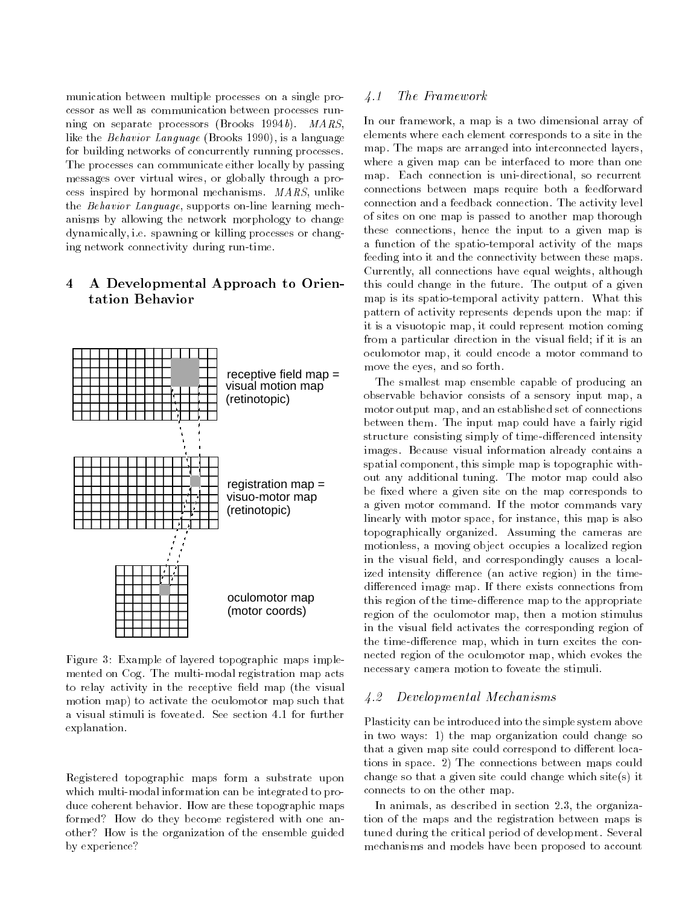munication between multiple processes on a single processor as well as communication between processes running on separate processors (Brooks 1994b). MARS, like the Behavior Language (Brooks 1990), is a language for building networks of concurrently running processes. The processes can communicate either locally by passing messages over virtual wires, or globally through a process inspired by hormonal mechanisms. MARS, unlike the Behavior Language, supports on-line learning mechanisms by allowing the network morphology to change dynamically, i.e. spawning or killing processes or changing network connectivity during run-time.

# 4 A Developmental Approach to Orientation Behavior



mented on Cog. The multi-modal registration map acts to relay activity in the receptive field map (the visual motion map) to activate the oculomotor map such that a visual stimuli is foveated. See section 4.1 for further explanation.

Registered topographic maps form a substrate upon which multi-modal information can be integrated to produce coherent behavior. How are these topographic maps formed? How do they become registered with one another? How is the organization of the ensemble guided by experience?

### 4.1 The Framework

In our framework, a map is a two dimensional array of elements where each element corresponds to a site in the map. The maps are arranged into interconnected layers, where a given map can be interfaced to more than one map. Each connection is uni-directional, so recurrent connections between maps require both a feedforward connection and a feedback connection. The activity level of sites on one map is passed to another map thorough these connections, hence the input to a given map is a function of the spatio-temporal activity of the maps feeding into it and the connectivity between these maps. Currently, all connections have equal weights, although this could change in the future. The output of a given map is its spatio-temporal activity pattern. What this pattern of activity represents depends upon the map: if it is a visuotopic map, it could represent motion coming from a particular direction in the visual field; if it is an oculomotor map, it could encode a motor command to move the eyes, and so forth.

The smallest map ensemble capable of producing an observable behavior consists of a sensory input map, a motor output map, and an established set of connections between them. The input map could have a fairly rigid structure consisting simply of time-differenced intensity images. Because visual information already contains a spatial component, this simple map is topographic without any additional tuning. The motor map could also be fixed where a given site on the map corresponds to a given motor command. If the motor commands vary linearly with motor space, for instance, this map is also topographically organized. Assuming the cameras are motionless, a moving object occupies a localized region in the visual field, and correspondingly causes a localized intensity difference (an active region) in the timedifferenced image map. If there exists connections from this region of the time-difference map to the appropriate region of the oculomotor map, then a motion stimulus in the visual field activates the corresponding region of the time-difference map, which in turn excites the connected region of the oculomotor map, which evokes the necessary camera motion to foveate the stimuli.

#### 4.2 Developmental Mechanisms

Plasticity can be introduced into the simple system above in two ways: 1) the map organization could change so that a given map site could correspond to different locations in space. 2) The connections between maps could change so that a given site could change which site(s) it connects to on the other map.

In animals, as described in section 2.3, the organization of the maps and the registration between maps is tuned during the critical period of development. Several mechanisms and models have been proposed to account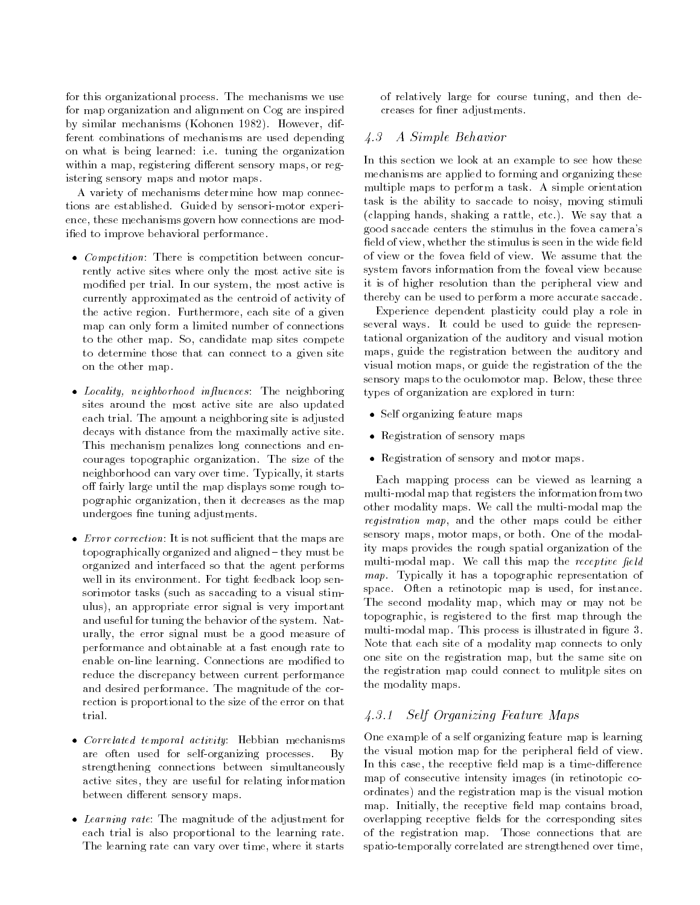for this organizational process. The mechanisms we use for map organization and alignment on Cog are inspired by similar mechanisms (Kohonen 1982). However, different combinations of mechanisms are used depending on what is being learned: i.e. tuning the organization within a map, registering different sensory maps, or registering sensory maps and motor maps.

A variety of mechanisms determine how map connections are established. Guided by sensori-motor experience, these mechanisms govern how connections are modified to improve behavioral performance.

- Competition: There is competition between concurrently active sites where only the most active site is modied per trial. In our system, the most active is currently approximated as the centroid of activity of the active region. Furthermore, each site of a given map can only form a limited number of connections to the other map. So, candidate map sites compete to determine those that can connect to a given site on the other map.
- Locality, neighborhood influences: The neighboring sites around the most active site are also updated each trial. The amount a neighboring site is adjusted decays with distance from the maximally active site. This mechanism penalizes long connections and encourages topographic organization. The size of the neighborhood can vary over time. Typically, it starts off fairly large until the map displays some rough topographic organization, then it decreases as the map undergoes ne tuning adjustments.
- $\bullet$  *Error correction*: It is not sufficient that the maps are topographically organized and aligned { they must be organized and interfaced so that the agent performs well in its environment. For tight feedback loop sensorimotor tasks (such as saccading to a visual stimulus), an appropriate error signal is very important and useful for tuning the behavior of the system. Naturally, the error signal must be a good measure of performance and obtainable at a fast enough rate to enable on-line learning. Connections are modified to reduce the discrepancy between current performance and desired performance. The magnitude of the correction is proportional to the size of the error on that trial.
- Correlated temporal activity: Hebbian mechanisms are often used for self-organizing processes. By strengthening connections between simultaneously active sites, they are useful for relating information between different sensory maps.
- Learning rate: The magnitude of the adjustment for each trial is also proportional to the learning rate. The learning rate can vary over time, where it starts

of relatively large for course tuning, and then decreases for finer adjustments.

### 4.3 A Simple Behavior

In this section we look at an example to see how these mechanisms are applied to forming and organizing these multiple maps to perform a task. A simple orientation task is the ability to saccade to noisy, moving stimuli (clapping hands, shaking a rattle, etc.). We say that a good saccade centers the stimulus in the fovea camera's field of view, whether the stimulus is seen in the wide field eld of view, whether the stimulus is seen in the stimulus is seen in the wide stimulus is seen in the wide wide of view or the fovea field of view. We assume that the system favors information from the foveal view because it is of higher resolution than the peripheral view and thereby can be used to perform a more accurate saccade.

Experience dependent plasticity could play a role in several ways. It could be used to guide the representational organization of the auditory and visual motion maps, guide the registration between the auditory and visual motion maps, or guide the registration of the the sensory maps to the oculomotor map. Below, these three types of organization are explored in turn:

- Self organizing feature maps
- Registration of sensory maps
- Registration of sensory and motor maps.

Each mapping process can be viewed as learning a multi-modal map that registers the information from two other modality maps. We call the multi-modal map the registration map, and the other maps could be either sensory maps, motor maps, or both. One of the modality maps provides the rough spatial organization of the multi-modal map. We call this map the receptive field map. Typically it has a topographic representation of space. Often a retinotopic map is used, for instance. The second modality map, which may or may not be topographic, is registered to the first map through the multi-modal map. This process is illustrated in figure 3. Note that each site of a modality map connects to only one site on the registration map, but the same site on the registration map could connect to mulitple sites on the modality maps.

# 4.3.1 Self Organizing Feature Maps

One example of a self organizing feature map is learning the visual motion map for the peripheral field of view. In this case, the receptive field map is a time-difference map of consecutive intensity images (in retinotopic coordinates) and the registration map is the visual motion map. Initially, the receptive field map contains broad, overlapping receptive fields for the corresponding sites of the registration map. Those connections that are spatio-temporally correlated are strengthened over time,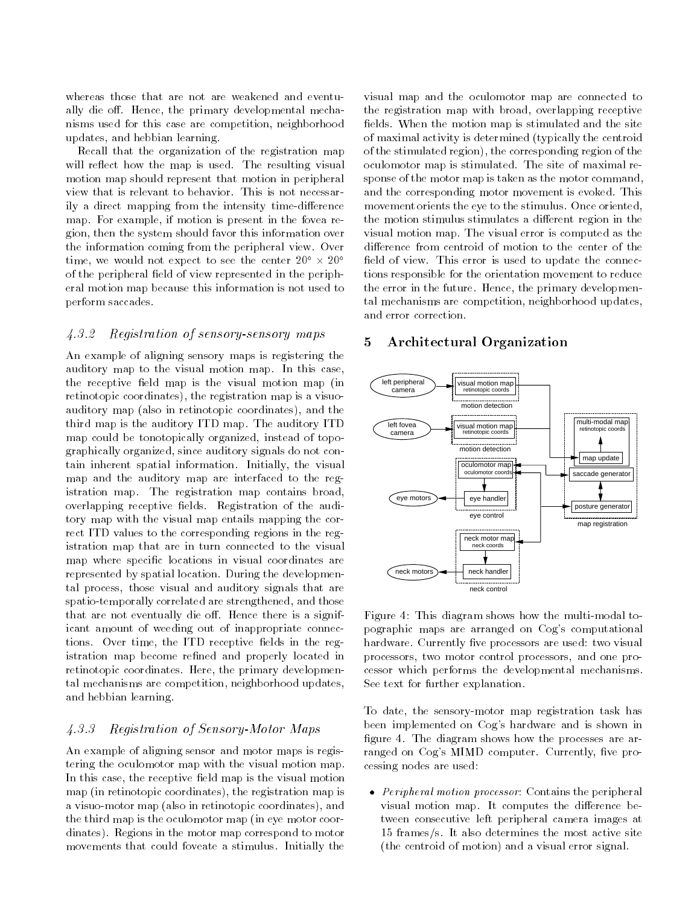whereas those that are not are weakened and eventually die off. Hence, the primary developmental mechanisms used for this case are competition, neighborhood updates, and hebbian learning.

Recall that the organization of the registration map will reflect how the map is used. The resulting visual motion map should represent that motion in peripheral view that is relevant to behavior. This is not necessarily a direct mapping from the intensity time-difference map. For example, if motion is present in the fovea region, then the system should favor this information over the information coming from the peripheral view. Over time, we would not expect to see the center  $20^\circ \times 20^\circ$ of the peripheral field of view represented in the peripheral motion map because this information is not used to perform saccades.

### 4.3.2 Registration of sensory-sensory maps

An example of aligning sensory maps is registering the auditory map to the visual motion map. In this case, the receptive field map is the visual motion map (in retinotopic coordinates), the registration map is a visuoauditory map (also in retinotopic coordinates), and the third map is the auditory ITD map. The auditory ITD map could be tonotopically organized, instead of topographically organized, since auditory signals do not contain inherent spatial information. Initially, the visual map and the auditory map are interfaced to the registration map. The registration map contains broad, overlapping receptive fields. Registration of the auditory map with the visual map entails mapping the correct ITD values to the corresponding regions in the registration map that are in turn connected to the visual map where specific locations in visual coordinates are represented by spatial location. During the developmental process, those visual and auditory signals that are spatio-temporally correlated are strengthened, and those that are not eventually die off. Hence there is a significant amount of weeding out of inappropriate connections. Over time, the ITD receptive fields in the registration map become refined and properly located in retinotopic coordinates. Here, the primary developmental mechanisms are competition, neighborhood updates, and hebbian learning.

### 4.3.3 Registration of Sensory-Motor Maps

An example of aligning sensor and motor maps is registering the oculomotor map with the visual motion map. In this case, the receptive field map is the visual motion map (in retinotopic coordinates), the registration map is a visuo-motor map (also in retinotopic coordinates), and the third map is the oculomotor map (in eye motor coordinates). Regions in the motor map correspond to motor movements that could foveate a stimulus. Initially the

visual map and the oculomotor map are connected to the registration map with broad, overlapping receptive fields. When the motion map is stimulated and the site of maximal activity is determined (typically the centroid of the stimulated region), the corresponding region of the oculomotor map is stimulated. The site of maximal response of the motor map is taken as the motor command, and the corresponding motor movement is evoked. This movement orients the eye to the stimulus. Once oriented, the motion stimulus stimulates a different region in the visual motion map. The visual error is computed as the difference from centroid of motion to the center of the field of view. This error is used to update the connections responsible for the orientation movement to reduce the error in the future. Hence, the primary developmental mechanisms are competition, neighborhood updates, and error correction.

#### 5 Architectural Organization 5



Figure 4: This diagram shows how the multi-modal topographic maps are arranged on Cog's computational hardware. Currently five processors are used: two visual processors, two motor control processors, and one processor which performs the developmental mechanisms. See text for further explanation.

To date, the sensory-motor map registration task has been implemented on Cog's hardware and is shown in figure 4. The diagram shows how the processes are arranged on Cog's MIMD computer. Currently, five processing nodes are used:

 Peripheral motion processor: Contains the peripheral visual motion map. It computes the difference between consecutive left peripheral camera images at 15 frames/s. It also determines the most active site (the centroid of motion) and a visual error signal.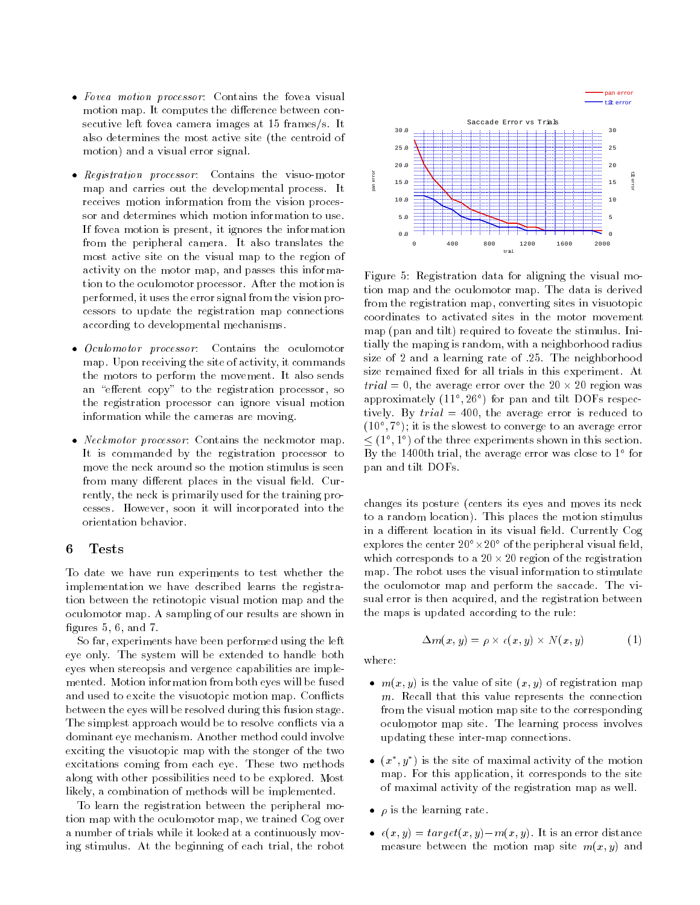- Fovea motion processor: Contains the fovea visual motion map. It computes the difference between consecutive left fovea camera images at 15 frames/s. It also determines the most active site (the centroid of motion) and a visual error signal.
- Registration processor: Contains the visuo-motor map and carries out the developmental process. It receives motion information from the vision processor and determines which motion information to use. If fovea motion is present, it ignores the information from the peripheral camera. It also translates the most active site on the visual map to the region of activity on the motor map, and passes this information to the oculomotor processor. After the motion is performed, it uses the error signal from the vision processors to update the registration map connections according to developmental mechanisms.
- *Oculomotor processor*: Contains the oculomotor map. Upon receiving the site of activity, it commands the motors to perform the movement. It also sends an "efferent copy" to the registration processor, so the registration processor can ignore visual motion information while the cameras are moving.
- *Neckmotor processor*: Contains the neckmotor map. It is commanded by the registration processor to move the neck around so the motion stimulus is seen from many different places in the visual field. Currently, the neck is primarily used for the training processes. However, soon it will incorporated into the orientation behavior.

#### 6

To date we have run experiments to test whether the implementation we have described learns the registration between the retinotopic visual motion map and the oculomotor map. A sampling of our results are shown in figures  $5, 6,$  and  $7.$ 

So far, experiments have been performed using the left eye only. The system will be extended to handle both eyes when stereopsis and vergence capabilities are imple mented. Motion information from both eyes will be fused and used to excite the visuotopic motion map. Con
icts between the eyes will be resolved during this fusion stage. The simplest approach would be to resolve con
icts via a dominant eye mechanism. Another method could involve exciting the visuotopic map with the stonger of the two excitations coming from each eye. These two methods along with other possibilities need to be explored. Most likely, a combination of methods will be implemented.

To learn the registration between the peripheral motion map with the oculomotor map, we trained Cog over a number of trials while it looked at a continuously moving stimulus. At the beginning of each trial, the robot



Figure 5: Registration data for aligning the visual motion map and the oculomotor map. The data is derived from the registration map, converting sites in visuotopic coordinates to activated sites in the motor movement map (pan and tilt) required to foveate the stimulus. Initially the maping is random, with a neighborhood radius size of 2 and a learning rate of .25. The neighborhood size remained fixed for all trials in this experiment. At trial = 0, the average error over the 20 - 20 region was approximately (11 ; 26 ) for pan and tilt DOFs respectively. By  $trial = 400$ , the average error is reduced to (10 ; 7 ); it is the slowest to converge to an average error  $\leq$  (1,  $\perp$  ) of the three experiments shown in this section. By the 1400th trial, the average error was close to 1 for pan and tilt DOFs.

changes its posture (centers its eyes and moves its neck to a random location). This places the motion stimulus in a different location in its visual field. Currently Cog explores the center zuring of the peripheral visual field, which corresponds to a 20 - 20 region of the registration map. The robot uses the visual information to stimulate the oculomotor map and perform the saccade. The visual error is then acquired, and the registration between the maps is updated according to the rule:

$$
\Delta m(x, y) = \rho \times \epsilon(x, y) \times N(x, y) \tag{1}
$$

where:

- $\bullet$   $m(x, y)$  is the value of site  $(x, y)$  of registration map  $m$ . Recall that this value represents the connection from the visual motion map site to the corresponding oculomotor map site. The learning process involves updating these inter-map connections.
- $\bullet$  (x, y, ) is the site of maximal activity of the motion map. For this application, it corresponds to the site of maximal activity of the registration map as well.
- $\bullet$   $\rho$  is the learning rate.
- $\bullet$   $\epsilon(x, y) = target(x, y) m(x, y)$ . It is an error distance measure between the motion map site  $m(x, y)$  and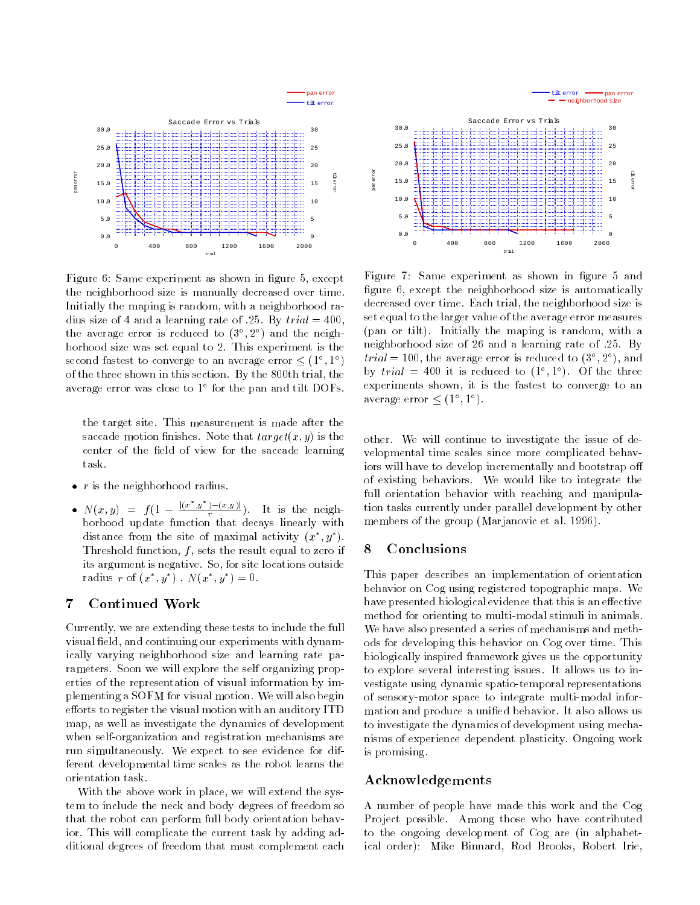

Figure 6: Same experiment as shown in figure 5, except the neighborhood size is manually decreased over time. Initially the maping is random, with a neighborhood radius size of 4 and a learning rate of .25. By  $trial = 400$ , the average error is reduced to (3 ; <sup>2</sup> ) and the neighborhood size was set equal to 2. This experiment is the second fastest to converge to an average error (1 ; 1 ) of the three shown in this section. By the 800th trial, the average error was close to 1 for the pan and the DOFs.

the target site. This measurement is made after the saccade motion finishes. Note that  $target(x, y)$  is the center of the field of view for the saccade learning task.

- $\bullet$  r is the neighborhood radius.
- $N(x, y) = f(1 \frac{|(x, y)|}{r}).$  It is the neighborhood update function that decays linearly with distance from the site of maximal activity  $(x^-, y^-)$ . Threshold function,  $f$ , sets the result equal to zero if its argument is negative. So, for site locations outside radius  $r$  of  $(x_1, y_1)$ ,  $N(x_1, y_1) = 0$ .

#### $\overline{7}$ Continued Work

Currently, we are extending these tests to include the full visual field, and continuing our experiments with dynamically varying neighborhood size and learning rate parameters. Soon we will explore the self organizing properties of the representation of visual information by implementing a SOFM for visual motion. We will also begin efforts to register the visual motion with an auditory ITD map, as well as investigate the dynamics of development when self-organization and registration mechanisms are run simultaneously. We expect to see evidence for different developmental time scales as the robot learns the orientation task.

With the above work in place, we will extend the system to include the neck and body degrees of freedom so that the robot can perform full body orientation behavior. This will complicate the current task by adding additional degrees of freedom that must complement each



Figure 7: Same experiment as shown in figure 5 and figure 6, except the neighborhood size is automatically decreased over time. Each trial, the neighborhood size is set equal to the larger value of the average error measures (pan or tilt). Initially the maping is random, with a neighborhood size of 26 and a learning rate of :25. By  $true = 100$ , the average error is reduced to (5°, 2°), and by  $trial = 400$  it is reduced to  $(1, 1)$ . Of the three experiments shown, it is the fastest to converge to an average error  $\leq (1, 1)$ .

other. We will continue to investigate the issue of developmental time scales since more complicated behaviors will have to develop incrementally and bootstrap o of existing behaviors. We would like to integrate the full orientation behavior with reaching and manipulation tasks currently under parallel development by other members of the group (Marjanovic et al. 1996).

#### **Conclusions** 8

This paper describes an implementation of orientation behavior on Cog using registered topographic maps. We have presented biological evidence that this is an effective method for orienting to multi-modal stimuli in animals. We have also presented a series of mechanisms and methods for developing this behavior on Cog over time. This biologically inspired framework gives us the opportunity to explore several interesting issues. It allows us to investigate using dynamic spatio-temporal representations of sensory-motor space to integrate multi-modal information and produce a unied behavior. It also allows us to investigate the dynamics of development using mechanisms of experience dependent plasticity. Ongoing work is promising.

#### Acknowledgements

A number of people have made this work and the Cog Project possible. Among those who have contributed to the ongoing development of Cog are (in alphabetical order): Mike Binnard, Rod Brooks, Robert Irie,